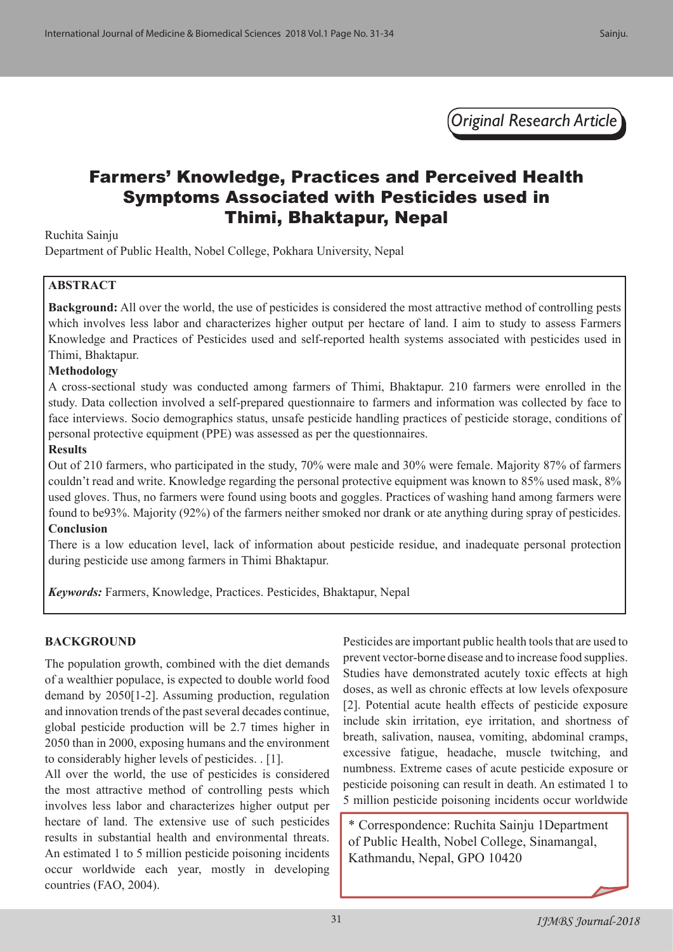

# Farmers' Knowledge, Practices and Perceived Health Symptoms Associated with Pesticides used in Thimi, Bhaktapur, Nepal

Ruchita Sainju

Department of Public Health, Nobel College, Pokhara University, Nepal

# **ABSTRACT**

**Background:** All over the world, the use of pesticides is considered the most attractive method of controlling pests which involves less labor and characterizes higher output per hectare of land. I aim to study to assess Farmers Knowledge and Practices of Pesticides used and self-reported health systems associated with pesticides used in Thimi, Bhaktapur.

### **Methodology**

A cross-sectional study was conducted among farmers of Thimi, Bhaktapur. 210 farmers were enrolled in the study. Data collection involved a self-prepared questionnaire to farmers and information was collected by face to face interviews. Socio demographics status, unsafe pesticide handling practices of pesticide storage, conditions of personal protective equipment (PPE) was assessed as per the questionnaires.

### **Results**

Out of 210 farmers, who participated in the study, 70% were male and 30% were female. Majority 87% of farmers couldn't read and write. Knowledge regarding the personal protective equipment was known to 85% used mask, 8% used gloves. Thus, no farmers were found using boots and goggles. Practices of washing hand among farmers were found to be93%. Majority (92%) of the farmers neither smoked nor drank or ate anything during spray of pesticides. **Conclusion**

There is a low education level, lack of information about pesticide residue, and inadequate personal protection during pesticide use among farmers in Thimi Bhaktapur.

*Keywords:* Farmers, Knowledge, Practices. Pesticides, Bhaktapur, Nepal

### **BACKGROUND**

The population growth, combined with the diet demands of a wealthier populace, is expected to double world food demand by 2050[1-2]. Assuming production, regulation and innovation trends of the past several decades continue, global pesticide production will be 2.7 times higher in 2050 than in 2000, exposing humans and the environment to considerably higher levels of pesticides. . [1].

All over the world, the use of pesticides is considered the most attractive method of controlling pests which involves less labor and characterizes higher output per hectare of land. The extensive use of such pesticides results in substantial health and environmental threats. An estimated 1 to 5 million pesticide poisoning incidents occur worldwide each year, mostly in developing countries (FAO, 2004).

Pesticides are important public health tools that are used to prevent vector-borne disease and to increase food supplies. Studies have demonstrated acutely toxic effects at high doses, as well as chronic effects at low levels ofexposure [2]. Potential acute health effects of pesticide exposure include skin irritation, eye irritation, and shortness of breath, salivation, nausea, vomiting, abdominal cramps, excessive fatigue, headache, muscle twitching, and numbness. Extreme cases of acute pesticide exposure or pesticide poisoning can result in death. An estimated 1 to 5 million pesticide poisoning incidents occur worldwide

\* Correspondence: Ruchita Sainju 1Department of Public Health, Nobel College, Sinamangal, Kathmandu, Nepal, GPO 10420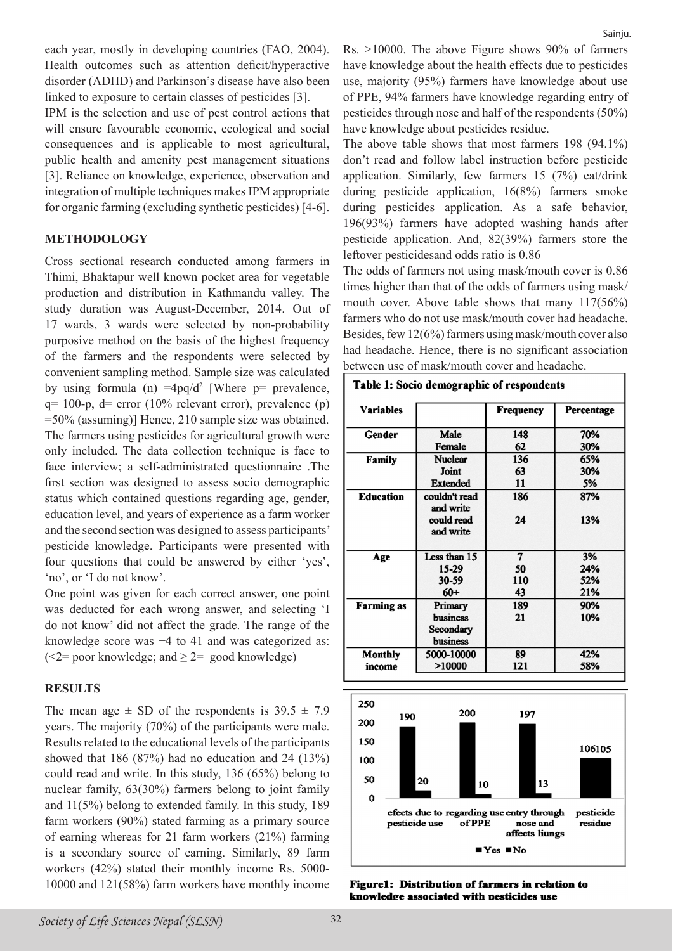each year, mostly in developing countries (FAO, 2004). Health outcomes such as attention deficit/hyperactive disorder (ADHD) and Parkinson's disease have also been linked to exposure to certain classes of pesticides [3].

IPM is the selection and use of pest control actions that will ensure favourable economic, ecological and social consequences and is applicable to most agricultural, public health and amenity pest management situations [3]. Reliance on knowledge, experience, observation and integration of multiple techniques makes IPM appropriate for organic farming (excluding synthetic pesticides) [4-6].

# **METHODOLOGY**

Cross sectional research conducted among farmers in Thimi, Bhaktapur well known pocket area for vegetable production and distribution in Kathmandu valley. The study duration was August-December, 2014. Out of 17 wards, 3 wards were selected by non-probability purposive method on the basis of the highest frequency of the farmers and the respondents were selected by convenient sampling method. Sample size was calculated by using formula (n)  $=4pq/d^2$  [Where p= prevalence,  $q= 100-p$ ,  $d=$  error (10% relevant error), prevalence (p) =50% (assuming)] Hence, 210 sample size was obtained. The farmers using pesticides for agricultural growth were only included. The data collection technique is face to face interview; a self-administrated questionnaire .The first section was designed to assess socio demographic status which contained questions regarding age, gender, education level, and years of experience as a farm worker and the second section was designed to assess participants' pesticide knowledge. Participants were presented with four questions that could be answered by either 'yes', 'no', or 'I do not know'.

One point was given for each correct answer, one point was deducted for each wrong answer, and selecting 'I do not know' did not affect the grade. The range of the knowledge score was −4 to 41 and was categorized as: ( $\leq$ 2= poor knowledge; and  $\geq$ 2= good knowledge)

### **RESULTS**

The mean age  $\pm$  SD of the respondents is 39.5  $\pm$  7.9 years. The majority (70%) of the participants were male. Results related to the educational levels of the participants showed that 186 (87%) had no education and 24 (13%) could read and write. In this study, 136 (65%) belong to nuclear family, 63(30%) farmers belong to joint family and 11(5%) belong to extended family. In this study, 189 farm workers (90%) stated farming as a primary source of earning whereas for 21 farm workers (21%) farming is a secondary source of earning. Similarly, 89 farm workers (42%) stated their monthly income Rs. 5000- 10000 and 121(58%) farm workers have monthly income

Rs. >10000. The above Figure shows 90% of farmers have knowledge about the health effects due to pesticides use, majority (95%) farmers have knowledge about use of PPE, 94% farmers have knowledge regarding entry of pesticides through nose and half of the respondents (50%) have knowledge about pesticides residue.

The above table shows that most farmers 198 (94.1%) don't read and follow label instruction before pesticide application. Similarly, few farmers 15 (7%) eat/drink during pesticide application, 16(8%) farmers smoke during pesticides application. As a safe behavior, 196(93%) farmers have adopted washing hands after pesticide application. And, 82(39%) farmers store the leftover pesticidesand odds ratio is 0.86

The odds of farmers not using mask/mouth cover is 0.86 times higher than that of the odds of farmers using mask/ mouth cover. Above table shows that many  $117(56%)$ farmers who do not use mask/mouth cover had headache. Besides, few 12(6%) farmers using mask/mouth cover also had headache. Hence, there is no significant association between use of mask/mouth cover and headache.

# Table 1: Socio demographic of respondents

| <b>Variables</b>  |                            | <b>Frequency</b> | Percentage |  |
|-------------------|----------------------------|------------------|------------|--|
| <b>Gender</b>     | Male                       | 148              | 70%        |  |
|                   | Female                     | 62               | 30%        |  |
| Family            | <b>Nuclear</b>             | 136              | 65%        |  |
|                   | Joint                      | 63               | 30%        |  |
|                   | 11<br>Extended             |                  | 5%         |  |
| <b>Education</b>  | couldn't read<br>and write | 186              | 87%        |  |
|                   | could read<br>and write    | 24               | 13%        |  |
| Age               | Less than 15               | $\overline{7}$   | 3%         |  |
|                   | 15-29                      | 50               | 24%        |  |
|                   | 30-59                      | 110              | 52%        |  |
|                   | $60+$                      | 43               | 21%        |  |
| <b>Farming</b> as | Primary                    | 189              | 90%        |  |
|                   | business                   | 21               | 10%        |  |
|                   | Secondary<br>business      |                  |            |  |
| Monthly           | 5000-10000                 | 89               | 42%        |  |
| income            | >10000                     | 121              | 58%        |  |



Figure1: Distribution of farmers in relation to knowledge associated with pesticides use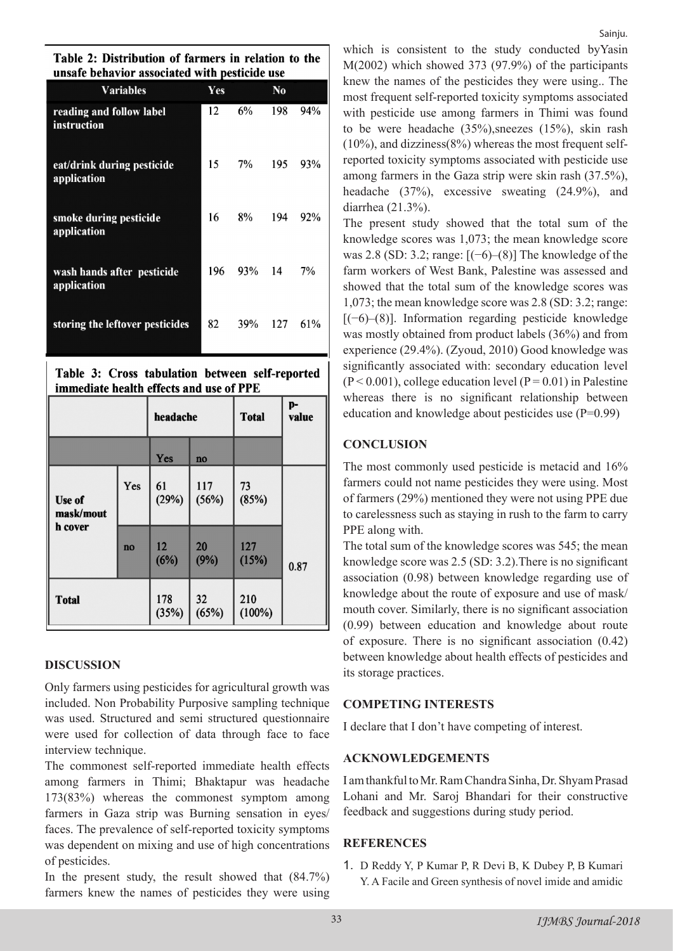Table 2: Distribution of farmers in relation to the unsafe behavior associated with pesticide use

| Variables                                 | Yes |     | N <sub>0</sub> |     |
|-------------------------------------------|-----|-----|----------------|-----|
| reading and follow label<br>instruction   | 12  | 6%  | 198            | 94% |
| eat/drink during pesticide<br>application | 15  | 7%  | 195            | 93% |
| smoke during pesticide<br>application     | 16  | 8%  | 194            | 92% |
| wash hands after pesticide<br>application | 196 | 93% | 14             | 7%  |
| storing the leftover pesticides           | 82  | 39% | 127            | 61% |

Table 3: Cross tabulation between self-reported immediate health effects and use of PPE

|                                |     | headache     |              | <b>Total</b>  | p-<br>value |
|--------------------------------|-----|--------------|--------------|---------------|-------------|
|                                |     | Yes          | no           |               |             |
| Use of<br>mask/mout<br>h cover | Yes | 61<br>(29%)  | 117<br>(56%) | 73<br>(85%)   |             |
|                                | no  | 12<br>(6%)   | 20<br>(9%)   | 127<br>(15%)  | 0.87        |
| <b>Total</b>                   |     | 178<br>(35%) | 32<br>(65%)  | 210<br>(100%) |             |

### **DISCUSSION**

Only farmers using pesticides for agricultural growth was included. Non Probability Purposive sampling technique was used. Structured and semi structured questionnaire were used for collection of data through face to face interview technique.

The commonest self-reported immediate health effects among farmers in Thimi; Bhaktapur was headache 173(83%) whereas the commonest symptom among farmers in Gaza strip was Burning sensation in eyes/ faces. The prevalence of self-reported toxicity symptoms was dependent on mixing and use of high concentrations of pesticides.

In the present study, the result showed that (84.7%) farmers knew the names of pesticides they were using which is consistent to the study conducted byYasin M(2002) which showed 373 (97.9%) of the participants knew the names of the pesticides they were using.. The most frequent self-reported toxicity symptoms associated with pesticide use among farmers in Thimi was found to be were headache (35%),sneezes (15%), skin rash  $(10\%)$ , and dizziness $(8\%)$  whereas the most frequent selfreported toxicity symptoms associated with pesticide use among farmers in the Gaza strip were skin rash (37.5%), headache (37%), excessive sweating (24.9%), and diarrhea (21.3%).

The present study showed that the total sum of the knowledge scores was 1,073; the mean knowledge score was 2.8 (SD: 3.2; range: [(−6)–(8)] The knowledge of the farm workers of West Bank, Palestine was assessed and showed that the total sum of the knowledge scores was 1,073; the mean knowledge score was 2.8 (SD: 3.2; range: [(−6)–(8)]. Information regarding pesticide knowledge was mostly obtained from product labels (36%) and from experience (29.4%). (Zyoud, 2010) Good knowledge was significantly associated with: secondary education level  $(P < 0.001)$ , college education level  $(P = 0.01)$  in Palestine whereas there is no significant relationship between education and knowledge about pesticides use (P=0.99)

### **CONCLUSION**

The most commonly used pesticide is metacid and 16% farmers could not name pesticides they were using. Most of farmers (29%) mentioned they were not using PPE due to carelessness such as staying in rush to the farm to carry PPE along with.

The total sum of the knowledge scores was 545; the mean knowledge score was 2.5 (SD: 3.2).There is no significant association (0.98) between knowledge regarding use of knowledge about the route of exposure and use of mask/ mouth cover. Similarly, there is no significant association (0.99) between education and knowledge about route of exposure. There is no significant association (0.42) between knowledge about health effects of pesticides and its storage practices.

### **COMPETING INTERESTS**

I declare that I don't have competing of interest.

### **ACKNOWLEDGEMENTS**

I am thankful to Mr. Ram Chandra Sinha, Dr. Shyam Prasad Lohani and Mr. Saroj Bhandari for their constructive feedback and suggestions during study period.

### **REFERENCES**

1. D Reddy Y, P Kumar P, R Devi B, K Dubey P, B Kumari Y. A Facile and Green synthesis of novel imide and amidic